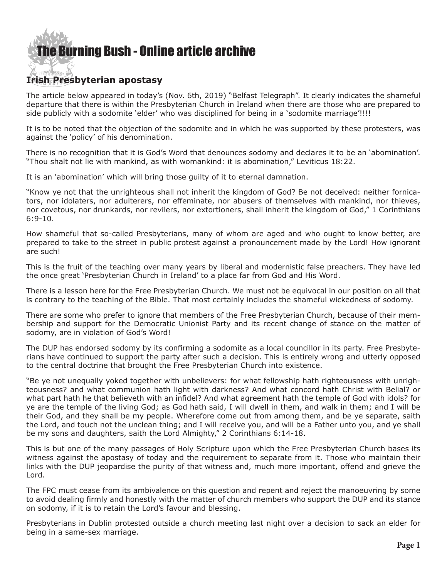## [The Burning Bush - Online article archive](http://www.ivanfoster.net)

## **Irish Presbyterian apostasy**

The article below appeared in today's (Nov. 6th, 2019) "Belfast Telegraph". It clearly indicates the shameful departure that there is within the Presbyterian Church in Ireland when there are those who are prepared to side publicly with a sodomite 'elder' who was disciplined for being in a 'sodomite marriage'!!!!

It is to be noted that the objection of the sodomite and in which he was supported by these protesters, was against the 'policy' of his denomination.

There is no recognition that it is God's Word that denounces sodomy and declares it to be an 'abomination'. "Thou shalt not lie with mankind, as with womankind: it is abomination," Leviticus 18:22.

It is an 'abomination' which will bring those guilty of it to eternal damnation.

"Know ye not that the unrighteous shall not inherit the kingdom of God? Be not deceived: neither fornicators, nor idolaters, nor adulterers, nor effeminate, nor abusers of themselves with mankind, nor thieves, nor covetous, nor drunkards, nor revilers, nor extortioners, shall inherit the kingdom of God," 1 Corinthians 6:9-10.

How shameful that so-called Presbyterians, many of whom are aged and who ought to know better, are prepared to take to the street in public protest against a pronouncement made by the Lord! How ignorant are such!

This is the fruit of the teaching over many years by liberal and modernistic false preachers. They have led the once great 'Presbyterian Church in Ireland' to a place far from God and His Word.

There is a lesson here for the Free Presbyterian Church. We must not be equivocal in our position on all that is contrary to the teaching of the Bible. That most certainly includes the shameful wickedness of sodomy.

There are some who prefer to ignore that members of the Free Presbyterian Church, because of their membership and support for the Democratic Unionist Party and its recent change of stance on the matter of sodomy, are in violation of God's Word!

The DUP has endorsed sodomy by its confirming a sodomite as a local councillor in its party. Free Presbyterians have continued to support the party after such a decision. This is entirely wrong and utterly opposed to the central doctrine that brought the Free Presbyterian Church into existence.

"Be ye not unequally yoked together with unbelievers: for what fellowship hath righteousness with unrighteousness? and what communion hath light with darkness? And what concord hath Christ with Belial? or what part hath he that believeth with an infidel? And what agreement hath the temple of God with idols? for ye are the temple of the living God; as God hath said, I will dwell in them, and walk in them; and I will be their God, and they shall be my people. Wherefore come out from among them, and be ye separate, saith the Lord, and touch not the unclean thing; and I will receive you, and will be a Father unto you, and ye shall be my sons and daughters, saith the Lord Almighty," 2 Corinthians 6:14-18.

This is but one of the many passages of Holy Scripture upon which the Free Presbyterian Church bases its witness against the apostasy of today and the requirement to separate from it. Those who maintain their links with the DUP jeopardise the purity of that witness and, much more important, offend and grieve the Lord.

The FPC must cease from its ambivalence on this question and repent and reject the manoeuvring by some to avoid dealing firmly and honestly with the matter of church members who support the DUP and its stance on sodomy, if it is to retain the Lord's favour and blessing.

Presbyterians in Dublin protested outside a church meeting last night over a decision to sack an elder for being in a same-sex marriage.